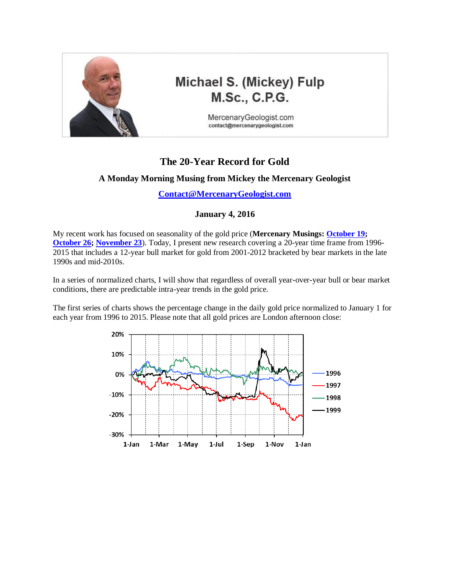

# Michael S. (Mickey) Fulp **M.Sc., C.P.G.**

MercenaryGeologist.com contact@mercenarygeologist.com

## **The 20-Year Record for Gold**

#### **A Monday Morning Musing from Mickey the Mercenary Geologist**

**[Contact@MercenaryGeologist.com](mailto:Contact@MercenaryGeologist.com)**

#### **January 4, 2016**

My recent work has focused on seasonality of the gold price (**Mercenary Musings: [October 19;](http://www.goldgeologist.com/mercenary_musings/musing151019-Why-Gold-Aint-Goin-Anywhere-Anytime-Soon.pdf) [October 26;](http://www.goldgeologist.com/mercenary_musings/musing-151026-A-Musing-on-the-Seasonality-of-Gold.pdf) [November 23](http://www.goldgeologist.com/mercenary_musings/musing-151123-The-Holiday-Season-A-Nugget-of-Gold-or-a-Lump-of-Coal.pdf)**). Today, I present new research covering a 20-year time frame from 1996- 2015 that includes a 12-year bull market for gold from 2001-2012 bracketed by bear markets in the late 1990s and mid-2010s.

In a series of normalized charts, I will show that regardless of overall year-over-year bull or bear market conditions, there are predictable intra-year trends in the gold price.

The first series of charts shows the percentage change in the daily gold price normalized to January 1 for each year from 1996 to 2015. Please note that all gold prices are London afternoon close:

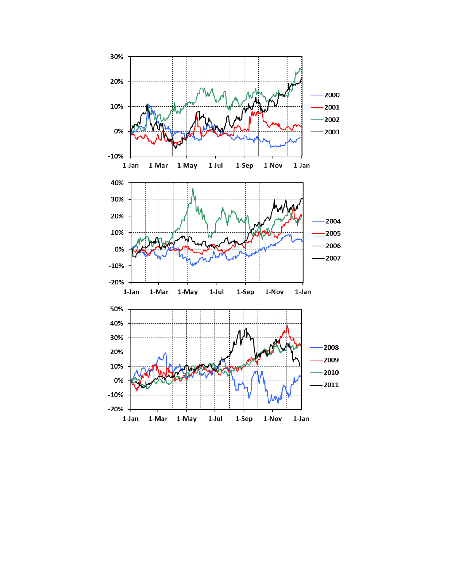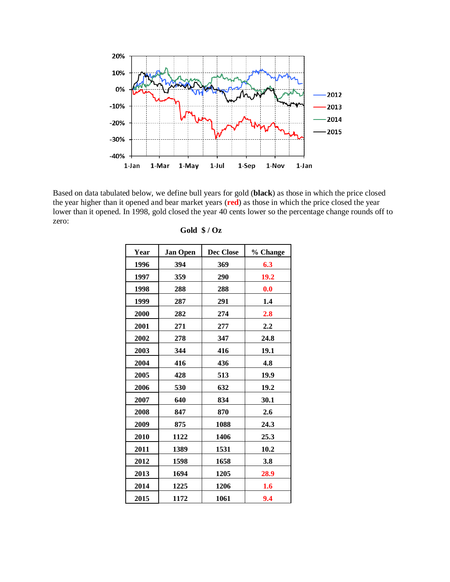

Based on data tabulated below, we define bull years for gold (**black**) as those in which the price closed the year higher than it opened and bear market years (**red**) as those in which the price closed the year lower than it opened. In 1998, gold closed the year 40 cents lower so the percentage change rounds off to zero:

| Year | <b>Jan Open</b> | Dec Close | % Change         |
|------|-----------------|-----------|------------------|
| 1996 | 394             | 369       | 6.3              |
| 1997 | 359             | 290       | 19.2             |
| 1998 | 288             | 288       | 0.0              |
| 1999 | 287             | 291       | 1.4              |
| 2000 | 282             | 274       | 2.8              |
| 2001 | 271             | 277       | $2.2\phantom{0}$ |
| 2002 | 278             | 347       | 24.8             |
| 2003 | 344             | 416       | 19.1             |
| 2004 | 416             | 436       | 4.8              |
| 2005 | 428             | 513       | 19.9             |
| 2006 | 530             | 632       | 19.2             |
| 2007 | 640             | 834       | 30.1             |
| 2008 | 847             | 870       | 2.6              |
| 2009 | 875             | 1088      | 24.3             |
| 2010 | 1122            | 1406      | 25.3             |
| 2011 | 1389            | 1531      | 10.2             |
| 2012 | 1598            | 1658      | 3.8              |
| 2013 | 1694            | 1205      | 28.9             |
| 2014 | 1225            | 1206      | 1.6              |
| 2015 | 1172            | 1061      | 9.4              |

| Gold $\sqrt{$}$ / Oz |  |
|----------------------|--|
|                      |  |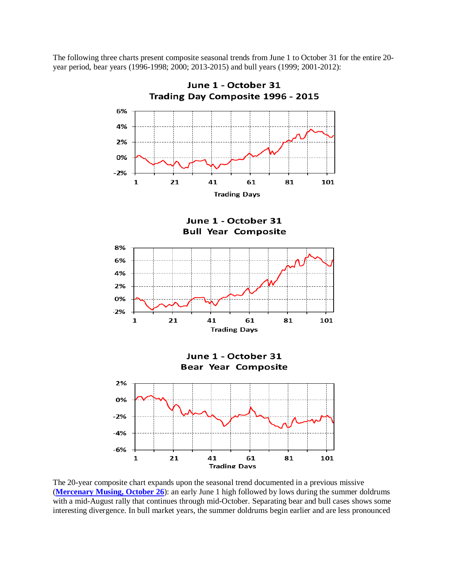The following three charts present composite seasonal trends from June 1 to October 31 for the entire 20 year period, bear years (1996-1998; 2000; 2013-2015) and bull years (1999; 2001-2012):



The 20-year composite chart expands upon the seasonal trend documented in a previous missive (**[Mercenary Musing, October 26](http://www.goldgeologist.com/mercenary_musings/musing-151026-A-Musing-on-the-Seasonality-of-Gold.pdf)**): an early June 1 high followed by lows during the summer doldrums with a mid-August rally that continues through mid-October. Separating bear and bull cases shows some interesting divergence. In bull market years, the summer doldrums begin earlier and are less pronounced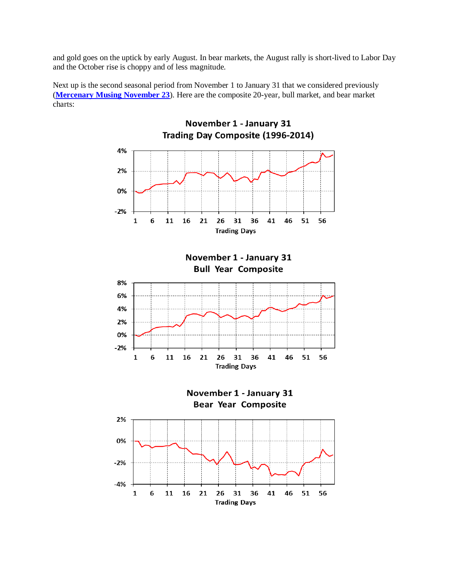and gold goes on the uptick by early August. In bear markets, the August rally is short-lived to Labor Day and the October rise is choppy and of less magnitude.

Next up is the second seasonal period from November 1 to January 31 that we considered previously (**[Mercenary Musing November 23](http://www.goldgeologist.com/mercenary_musings/musing-151123-The-Holiday-Season-A-Nugget-of-Gold-or-a-Lump-of-Coal.pdf)**). Here are the composite 20-year, bull market, and bear market charts:

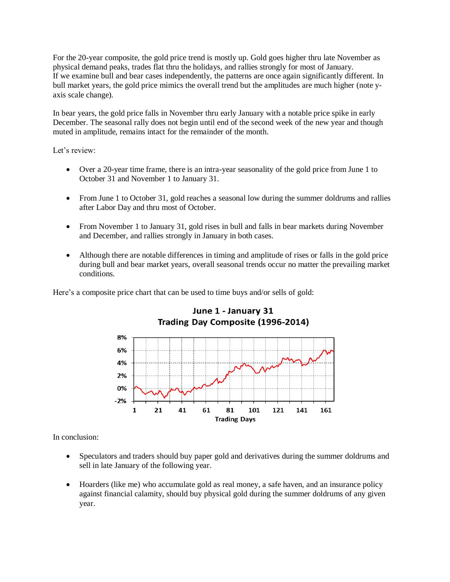For the 20-year composite, the gold price trend is mostly up. Gold goes higher thru late November as physical demand peaks, trades flat thru the holidays, and rallies strongly for most of January. If we examine bull and bear cases independently, the patterns are once again significantly different. In bull market years, the gold price mimics the overall trend but the amplitudes are much higher (note yaxis scale change).

In bear years, the gold price falls in November thru early January with a notable price spike in early December. The seasonal rally does not begin until end of the second week of the new year and though muted in amplitude, remains intact for the remainder of the month.

Let's review:

- Over a 20-year time frame, there is an intra-year seasonality of the gold price from June 1 to October 31 and November 1 to January 31.
- From June 1 to October 31, gold reaches a seasonal low during the summer doldrums and rallies after Labor Day and thru most of October.
- From November 1 to January 31, gold rises in bull and falls in bear markets during November and December, and rallies strongly in January in both cases.
- Although there are notable differences in timing and amplitude of rises or falls in the gold price during bull and bear market years, overall seasonal trends occur no matter the prevailing market conditions.

Here's a composite price chart that can be used to time buys and/or sells of gold:



### June 1 - January 31 Trading Day Composite (1996-2014)

In conclusion:

- Speculators and traders should buy paper gold and derivatives during the summer doldrums and sell in late January of the following year.
- Hoarders (like me) who accumulate gold as real money, a safe haven, and an insurance policy against financial calamity, should buy physical gold during the summer doldrums of any given year.